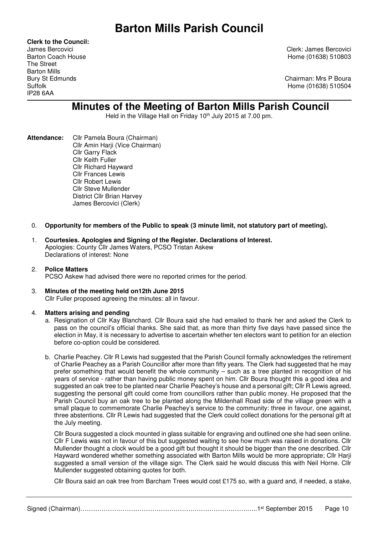**Clerk to the Council:** The Street Barton Mills IP28 6AA

James Bercovici Clerk: James Bercovici Barton Coach House **Home (01638)** 510803

Bury St Edmunds **Chairman: Mrs P Boura** Suffolk Home (01638) 510504

# **Minutes of the Meeting of Barton Mills Parish Council**

Held in the Village Hall on Friday 10<sup>th</sup> July 2015 at 7.00 pm.

**Attendance:** Cllr Pamela Boura (Chairman) Cllr Amin Harji (Vice Chairman) Cllr Garry Flack Cllr Keith Fuller Cllr Richard Hayward Cllr Frances Lewis Cllr Robert Lewis Cllr Steve Mullender District Cllr Brian Harvey James Bercovici (Clerk)

# 0. **Opportunity for members of the Public to speak (3 minute limit, not statutory part of meeting).**

1. **Courtesies. Apologies and Signing of the Register. Declarations of Interest.**  Apologies: County Cllr James Waters, PCSO Tristan Askew Declarations of interest: None

## 2. **Police Matters**

PCSO Askew had advised there were no reported crimes for the period.

#### 3. **Minutes of the meeting held on12th June 2015** Cllr Fuller proposed agreeing the minutes: all in favour.

## 4. **Matters arising and pending**

- a. Resignation of Cllr Kay Blanchard. Cllr Boura said she had emailed to thank her and asked the Clerk to pass on the council's official thanks. She said that, as more than thirty five days have passed since the election in May, it is necessary to advertise to ascertain whether ten electors want to petition for an election before co-option could be considered.
- b. Charlie Peachey. Cllr R Lewis had suggested that the Parish Council formally acknowledges the retirement of Charlie Peachey as a Parish Councillor after more than fifty years. The Clerk had suggested that he may prefer something that would benefit the whole community – such as a tree planted in recognition of his years of service - rather than having public money spent on him. Cllr Boura thought this a good idea and suggested an oak tree to be planted near Charlie Peachey's house and a personal gift; Cllr R Lewis agreed, suggesting the personal gift could come from councillors rather than public money. He proposed that the Parish Council buy an oak tree to be planted along the Mildenhall Road side of the village green with a small plaque to commemorate Charlie Peachey's service to the community: three in favour, one against, three abstentions. Cllr R Lewis had suggested that the Clerk could collect donations for the personal gift at the July meeting.

Cllr Boura suggested a clock mounted in glass suitable for engraving and outlined one she had seen online. Cllr F Lewis was not in favour of this but suggested waiting to see how much was raised in donations. Cllr Mullender thought a clock would be a good gift but thought it should be bigger than the one described. Cllr Hayward wondered whether something associated with Barton Mills would be more appropriate; Cllr Harji suggested a small version of the village sign. The Clerk said he would discuss this with Neil Horne. Clir Mullender suggested obtaining quotes for both.

Cllr Boura said an oak tree from Barcham Trees would cost £175 so, with a guard and, if needed, a stake,

Signed (Chairman)…………………………………………………………………….…..1st September 2015 Page 10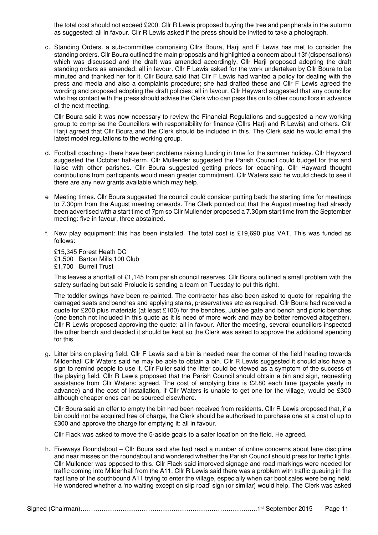the total cost should not exceed £200. Cllr R Lewis proposed buying the tree and peripherals in the autumn as suggested: all in favour. Cllr R Lewis asked if the press should be invited to take a photograph.

c. Standing Orders. a sub-committee comprising Cllrs Boura, Harji and F Lewis has met to consider the standing orders. Cllr Boura outlined the main proposals and highlighted a concern about 13f (dispensations) which was discussed and the draft was amended accordingly. Cllr Harji proposed adopting the draft standing orders as amended: all in favour. Cllr F Lewis asked for the work undertaken by Cllr Boura to be minuted and thanked her for it. Cllr Boura said that Cllr F Lewis had wanted a policy for dealing with the press and media and also a complaints procedure; she had drafted these and Cllr F Lewis agreed the wording and proposed adopting the draft policies: all in favour. Cllr Hayward suggested that any councillor who has contact with the press should advise the Clerk who can pass this on to other councillors in advance of the next meeting.

Cllr Boura said it was now necessary to review the Financial Regulations and suggested a new working group to comprise the Councillors with responsibility for finance (Cllrs Harji and R Lewis) and others. Cllr Harji agreed that Cllr Boura and the Clerk should be included in this. The Clerk said he would email the latest model regulations to the working group.

- d. Football coaching there have been problems raising funding in time for the summer holiday. Cllr Hayward suggested the October half-term. Cllr Mullender suggested the Parish Council could budget for this and liaise with other parishes. Cllr Boura suggested getting prices for coaching. Cllr Hayward thought contributions from participants would mean greater commitment. Cllr Waters said he would check to see if there are any new grants available which may help.
- e Meeting times. Cllr Boura suggested the council could consider putting back the starting time for meetings to 7.30pm from the August meeting onwards. The Clerk pointed out that the August meeting had already been advertised with a start time of 7pm so Cllr Mullender proposed a 7.30pm start time from the September meeting: five in favour, three abstained.
- f. New play equipment: this has been installed. The total cost is £19,690 plus VAT. This was funded as follows:

£15,345 Forest Heath DC £1,500 Barton Mills 100 Club £1,700 Burrell Trust

This leaves a shortfall of £1,145 from parish council reserves. Cllr Boura outlined a small problem with the safety surfacing but said Proludic is sending a team on Tuesday to put this right.

 The toddler swings have been re-painted. The contractor has also been asked to quote for repairing the damaged seats and benches and applying stains, preservatives etc as required. Cllr Boura had received a quote for £200 plus materials (at least £100) for the benches, Jubilee gate and bench and picnic benches (one bench not included in this quote as it is need of more work and may be better removed altogether). Cllr R Lewis proposed approving the quote: all in favour. After the meeting, several councillors inspected the other bench and decided it should be kept so the Clerk was asked to approve the additional spending for this.

g. Litter bins on playing field. Cllr F Lewis said a bin is needed near the corner of the field heading towards Mildenhall Cllr Waters said he may be able to obtain a bin. Cllr R Lewis suggested it should also have a sign to remind people to use it. Cllr Fuller said the litter could be viewed as a symptom of the success of the playing field. Cllr R Lewis proposed that the Parish Council should obtain a bin and sign, requesting assistance from Cllr Waters: agreed. The cost of emptying bins is £2.80 each time (payable yearly in advance) and the cost of installation, if Cllr Waters is unable to get one for the village, would be £300 although cheaper ones can be sourced elsewhere.

Cllr Boura said an offer to empty the bin had been received from residents. Cllr R Lewis proposed that, if a bin could not be acquired free of charge, the Clerk should be authorised to purchase one at a cost of up to £300 and approve the charge for emptying it: all in favour.

Cllr Flack was asked to move the 5-aside goals to a safer location on the field. He agreed.

h. Fiveways Roundabout – Cllr Boura said she had read a number of online concerns about lane discipline and near misses on the roundabout and wondered whether the Parish Council should press for traffic lights. Cllr Mullender was opposed to this. Cllr Flack said improved signage and road markings were needed for traffic coming into Mildenhall from the A11. Cllr R Lewis said there was a problem with traffic queuing in the fast lane of the southbound A11 trying to enter the village, especially when car boot sales were being held. He wondered whether a 'no waiting except on slip road' sign (or similar) would help. The Clerk was asked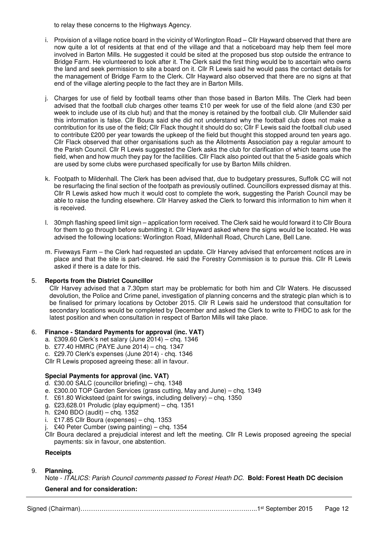to relay these concerns to the Highways Agency.

- i. Provision of a village notice board in the vicinity of Worlington Road Cllr Hayward observed that there are now quite a lot of residents at that end of the village and that a noticeboard may help them feel more involved in Barton Mills. He suggested it could be sited at the proposed bus stop outside the entrance to Bridge Farm. He volunteered to look after it. The Clerk said the first thing would be to ascertain who owns the land and seek permission to site a board on it. Cllr R Lewis said he would pass the contact details for the management of Bridge Farm to the Clerk. Cllr Hayward also observed that there are no signs at that end of the village alerting people to the fact they are in Barton Mills.
- j. Charges for use of field by football teams other than those based in Barton Mills. The Clerk had been advised that the football club charges other teams £10 per week for use of the field alone (and £30 per week to include use of its club hut) and that the money is retained by the football club. Cllr Mullender said this information is false. Cllr Boura said she did not understand why the football club does not make a contribution for its use of the field; Cllr Flack thought it should do so; Cllr F Lewis said the football club used to contribute £200 per year towards the upkeep of the field but thought this stopped around ten years ago. Cllr Flack observed that other organisations such as the Allotments Association pay a regular amount to the Parish Council. Cllr R Lewis suggested the Clerk asks the club for clarification of which teams use the field, when and how much they pay for the facilities. Cllr Flack also pointed out that the 5-aside goals which are used by some clubs were purchased specifically for use by Barton Mills children.
- k. Footpath to Mildenhall. The Clerk has been advised that, due to budgetary pressures, Suffolk CC will not be resurfacing the final section of the footpath as previously outlined. Councillors expressed dismay at this. Cllr R Lewis asked how much it would cost to complete the work, suggesting the Parish Council may be able to raise the funding elsewhere. Cllr Harvey asked the Clerk to forward this information to him when it is received.
- l. 30mph flashing speed limit sign application form received. The Clerk said he would forward it to Cllr Boura for them to go through before submitting it. Cllr Hayward asked where the signs would be located. He was advised the following locations: Worlington Road, Mildenhall Road, Church Lane, Bell Lane.
- m. Fiveways Farm the Clerk had requested an update. Cllr Harvey advised that enforcement notices are in place and that the site is part-cleared. He said the Forestry Commission is to pursue this. Cllr R Lewis asked if there is a date for this.

## 5. **Reports from the District Councillor**

Cllr Harvey advised that a 7.30pm start may be problematic for both him and Cllr Waters. He discussed devolution, the Police and Crime panel, investigation of planning concerns and the strategic plan which is to be finalised for primary locations by October 2015. Cllr R Lewis said he understood that consultation for secondary locations would be completed by December and asked the Clerk to write to FHDC to ask for the latest position and when consultation in respect of Barton Mills will take place.

#### 6. **Finance - Standard Payments for approval (inc. VAT)**

- a. £309.60 Clerk's net salary (June 2014) chq. 1346
- b. £77.40 HMRC (PAYE June 2014) chq. 1347
- c. £29.70 Clerk's expenses (June 2014) chq. 1346

Cllr R Lewis proposed agreeing these: all in favour.

#### **Special Payments for approval (inc. VAT)**

- d. £30.00 SALC (councillor briefing) chq. 1348
- e. £300.00 TOP Garden Services (grass cutting, May and June) chq. 1349
- f. £61.80 Wicksteed (paint for swings, including delivery) chq. 1350
- g. £23,628.01 Proludic (play equipment) chq. 1351
- h. £240 BDO (audit) chq. 1352
- i. £17.85 Cllr Boura (expenses) chq. 1353
- j. £40 Peter Cumber (swing painting) chq. 1354
- Cllr Boura declared a prejudicial interest and left the meeting. Cllr R Lewis proposed agreeing the special payments: six in favour, one abstention.

#### **Receipts**

## 9. **Planning.**

Note - *ITALICS: Parish Council comments passed to Forest Heath DC.* **Bold: Forest Heath DC decision**

#### **General and for consideration:**